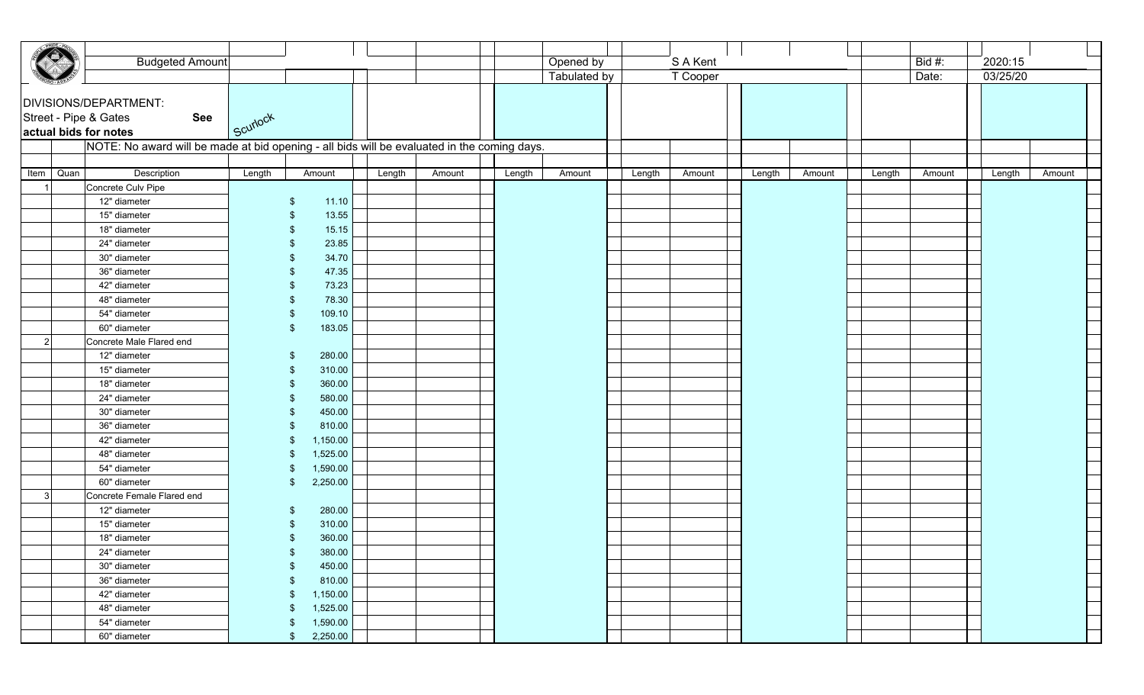|      | <b>Budgeted Amount</b>                                                                      |                         |        |        |        | Opened by           |        | S A Kent |        |        |        | Bid $#$ : | 2020:15  |        |
|------|---------------------------------------------------------------------------------------------|-------------------------|--------|--------|--------|---------------------|--------|----------|--------|--------|--------|-----------|----------|--------|
|      |                                                                                             |                         |        |        |        | <b>Tabulated by</b> |        | T Cooper |        |        |        | Date:     | 03/25/20 |        |
|      | DIVISIONS/DEPARTMENT:<br>Street - Pipe & Gates<br>See<br>actual bids for notes              | Scuriock                |        |        |        |                     |        |          |        |        |        |           |          |        |
|      | NOTE: No award will be made at bid opening - all bids will be evaluated in the coming days. |                         |        |        |        |                     |        |          |        |        |        |           |          |        |
|      | Quan<br>Description                                                                         | Amount                  |        |        |        |                     |        |          |        |        |        |           |          |        |
| Item | Concrete Culv Pipe                                                                          | Length                  | Length | Amount | Length | Amount              | Length | Amount   | Length | Amount | Length | Amount    | Length   | Amount |
|      | 12" diameter                                                                                | -\$                     | 11.10  |        |        |                     |        |          |        |        |        |           |          |        |
|      | 15" diameter                                                                                |                         | 13.55  |        |        |                     |        |          |        |        |        |           |          |        |
|      | 18" diameter                                                                                |                         | 15.15  |        |        |                     |        |          |        |        |        |           |          |        |
|      | 24" diameter                                                                                |                         | 23.85  |        |        |                     |        |          |        |        |        |           |          |        |
|      | 30" diameter                                                                                |                         | 34.70  |        |        |                     |        |          |        |        |        |           |          |        |
|      | 36" diameter                                                                                |                         | 47.35  |        |        |                     |        |          |        |        |        |           |          |        |
|      | 42" diameter                                                                                |                         | 73.23  |        |        |                     |        |          |        |        |        |           |          |        |
|      | 48" diameter                                                                                |                         | 78.30  |        |        |                     |        |          |        |        |        |           |          |        |
|      | 54" diameter                                                                                | 109.10                  |        |        |        |                     |        |          |        |        |        |           |          |        |
|      | 60" diameter                                                                                | 183.05<br>\$            |        |        |        |                     |        |          |        |        |        |           |          |        |
| 2    | Concrete Male Flared end                                                                    |                         |        |        |        |                     |        |          |        |        |        |           |          |        |
|      | 12" diameter                                                                                | 280.00<br>-\$           |        |        |        |                     |        |          |        |        |        |           |          |        |
|      | 15" diameter                                                                                | 310.00                  |        |        |        |                     |        |          |        |        |        |           |          |        |
|      | 18" diameter                                                                                | 360.00                  |        |        |        |                     |        |          |        |        |        |           |          |        |
|      | 24" diameter                                                                                | 580.00                  |        |        |        |                     |        |          |        |        |        |           |          |        |
|      | 30" diameter                                                                                | 450.00                  |        |        |        |                     |        |          |        |        |        |           |          |        |
|      | 36" diameter                                                                                | 810.00                  |        |        |        |                     |        |          |        |        |        |           |          |        |
|      | 42" diameter                                                                                | 1,150.00                |        |        |        |                     |        |          |        |        |        |           |          |        |
|      | 48" diameter                                                                                | 1,525.00                |        |        |        |                     |        |          |        |        |        |           |          |        |
|      | 54" diameter                                                                                | 1,590.00                |        |        |        |                     |        |          |        |        |        |           |          |        |
|      | 60" diameter                                                                                | 2,250.00<br>\$          |        |        |        |                     |        |          |        |        |        |           |          |        |
| 3    | Concrete Female Flared end                                                                  |                         |        |        |        |                     |        |          |        |        |        |           |          |        |
|      | 12" diameter                                                                                | 280.00                  |        |        |        |                     |        |          |        |        |        |           |          |        |
|      | 15" diameter                                                                                | 310.00                  |        |        |        |                     |        |          |        |        |        |           |          |        |
|      | 18" diameter                                                                                | 360.00                  |        |        |        |                     |        |          |        |        |        |           |          |        |
|      | 24" diameter                                                                                | 380.00<br>- \$          |        |        |        |                     |        |          |        |        |        |           |          |        |
|      | 30" diameter<br>36" diameter                                                                | 450.00<br>-\$<br>810.00 |        |        |        |                     |        |          |        |        |        |           |          |        |
|      | 42" diameter                                                                                | 1,150.00<br>\$          |        |        |        |                     |        |          |        |        |        |           |          |        |
|      | 48" diameter                                                                                | 1,525.00<br>- \$        |        |        |        |                     |        |          |        |        |        |           |          |        |
|      | 54" diameter                                                                                | 1,590.00<br>- \$        |        |        |        |                     |        |          |        |        |        |           |          |        |
|      | 60" diameter                                                                                | 2,250.00<br>\$          |        |        |        |                     |        |          |        |        |        |           |          |        |
|      |                                                                                             |                         |        |        |        |                     |        |          |        |        |        |           |          |        |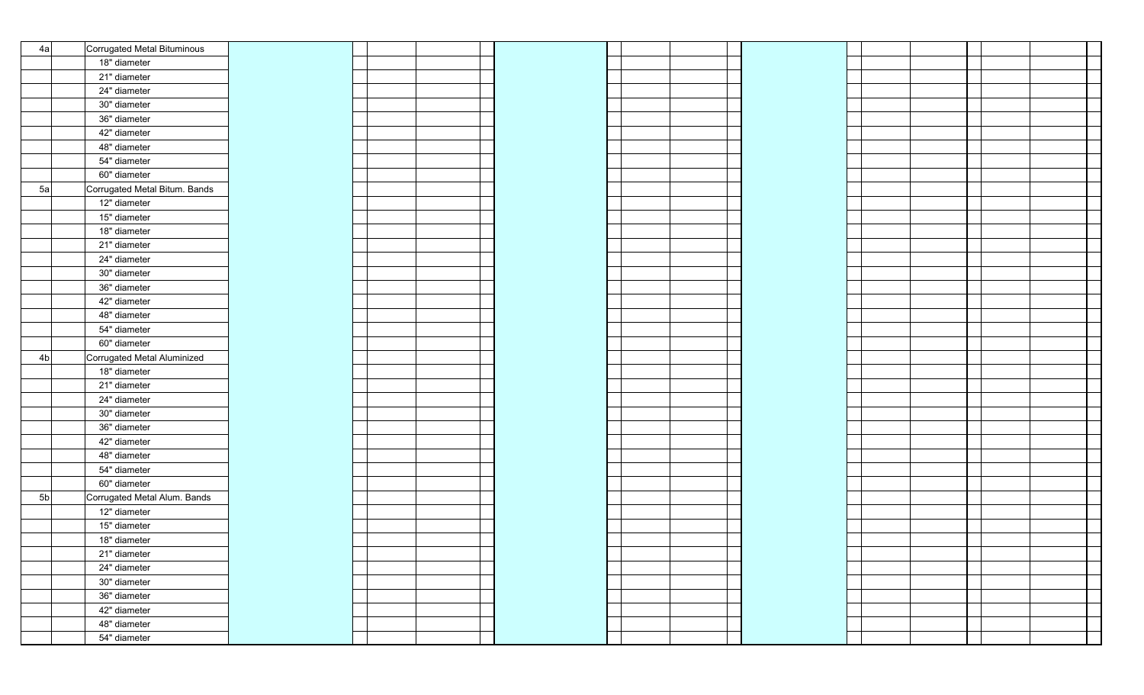| 4a             | Corrugated Metal Bituminous   |  |  |  |  |  |  |
|----------------|-------------------------------|--|--|--|--|--|--|
|                | 18" diameter                  |  |  |  |  |  |  |
|                | 21" diameter                  |  |  |  |  |  |  |
|                | 24" diameter                  |  |  |  |  |  |  |
|                | 30" diameter                  |  |  |  |  |  |  |
|                | 36" diameter                  |  |  |  |  |  |  |
|                | 42" diameter                  |  |  |  |  |  |  |
|                | 48" diameter                  |  |  |  |  |  |  |
|                | 54" diameter                  |  |  |  |  |  |  |
|                | 60" diameter                  |  |  |  |  |  |  |
| 5a             | Corrugated Metal Bitum. Bands |  |  |  |  |  |  |
|                | 12" diameter                  |  |  |  |  |  |  |
|                | 15" diameter                  |  |  |  |  |  |  |
|                | 18" diameter                  |  |  |  |  |  |  |
|                | 21" diameter                  |  |  |  |  |  |  |
|                | 24" diameter                  |  |  |  |  |  |  |
|                | 30" diameter                  |  |  |  |  |  |  |
|                | 36" diameter                  |  |  |  |  |  |  |
|                | 42" diameter                  |  |  |  |  |  |  |
|                | 48" diameter                  |  |  |  |  |  |  |
|                | 54" diameter                  |  |  |  |  |  |  |
|                | 60" diameter                  |  |  |  |  |  |  |
| 4 <sub>b</sub> | Corrugated Metal Aluminized   |  |  |  |  |  |  |
|                | 18" diameter                  |  |  |  |  |  |  |
|                | 21" diameter                  |  |  |  |  |  |  |
|                | 24" diameter                  |  |  |  |  |  |  |
|                | 30" diameter                  |  |  |  |  |  |  |
|                | 36" diameter                  |  |  |  |  |  |  |
|                | 42" diameter                  |  |  |  |  |  |  |
|                | 48" diameter                  |  |  |  |  |  |  |
|                | 54" diameter                  |  |  |  |  |  |  |
|                | 60" diameter                  |  |  |  |  |  |  |
| 5 <sub>b</sub> | Corrugated Metal Alum. Bands  |  |  |  |  |  |  |
|                | 12" diameter                  |  |  |  |  |  |  |
|                | 15" diameter                  |  |  |  |  |  |  |
|                | 18" diameter                  |  |  |  |  |  |  |
|                | 21" diameter                  |  |  |  |  |  |  |
|                | 24" diameter                  |  |  |  |  |  |  |
|                | 30" diameter                  |  |  |  |  |  |  |
|                | 36" diameter                  |  |  |  |  |  |  |
|                | 42" diameter                  |  |  |  |  |  |  |
|                | 48" diameter                  |  |  |  |  |  |  |
|                | 54" diameter                  |  |  |  |  |  |  |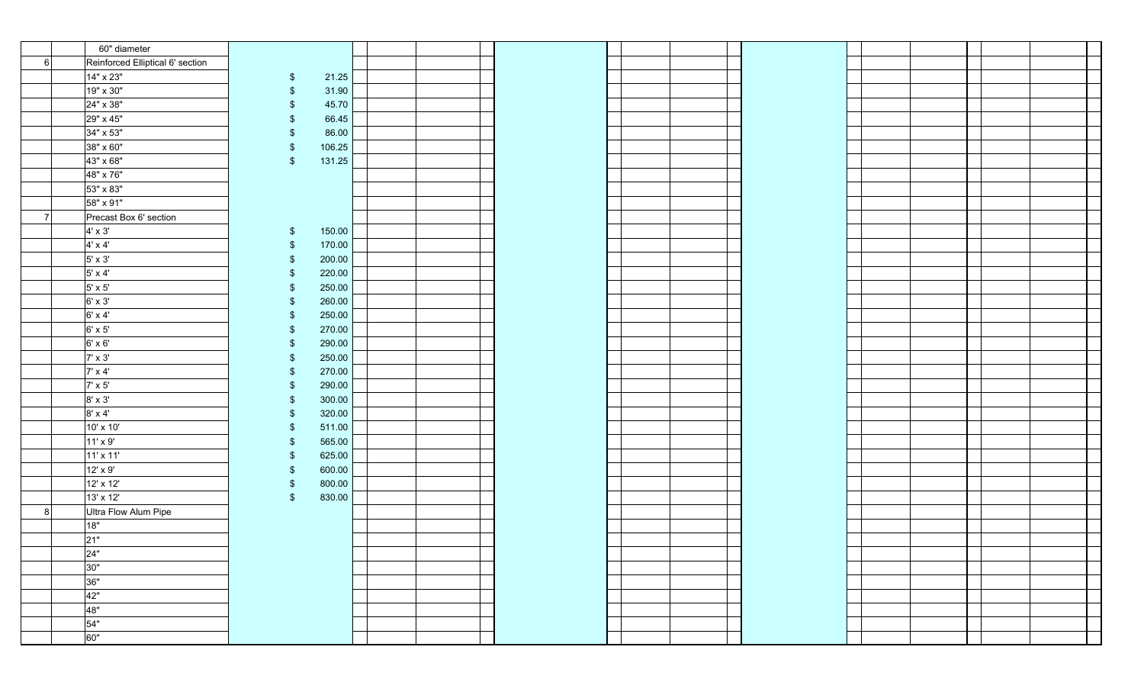|    | 60" diameter                     |                         |  |  |  |  |  |  |
|----|----------------------------------|-------------------------|--|--|--|--|--|--|
| 6  | Reinforced Elliptical 6' section |                         |  |  |  |  |  |  |
|    | 14" x 23"                        | 21.25<br>$\sqrt[6]{3}$  |  |  |  |  |  |  |
|    | 19" x 30"                        | 31.90<br>\$             |  |  |  |  |  |  |
|    | 24" x 38"                        | 45.70<br>\$             |  |  |  |  |  |  |
|    | 29" x 45"                        | 66.45<br>-\$            |  |  |  |  |  |  |
|    | 34" x 53"                        | 86.00                   |  |  |  |  |  |  |
|    | 38" x 60"                        | 106.25<br>\$            |  |  |  |  |  |  |
|    | 43" x 68"                        | 131.25<br>\$            |  |  |  |  |  |  |
|    | 48" x 76"                        |                         |  |  |  |  |  |  |
|    | 53" x 83"                        |                         |  |  |  |  |  |  |
|    | 58" x 91"                        |                         |  |  |  |  |  |  |
| -7 | Precast Box 6' section           |                         |  |  |  |  |  |  |
|    | $4' \times 3'$                   | 150.00<br>$\sqrt[6]{3}$ |  |  |  |  |  |  |
|    | $4' \times 4'$                   | 170.00<br>$\sqrt[6]{3}$ |  |  |  |  |  |  |
|    | $5' \times 3'$                   | 200.00<br>$\sqrt[6]{3}$ |  |  |  |  |  |  |
|    | $5' \times 4'$                   | 220.00<br>\$            |  |  |  |  |  |  |
|    | $5' \times 5'$                   | 250.00<br>\$            |  |  |  |  |  |  |
|    | $6' \times 3'$                   | 260.00<br>\$            |  |  |  |  |  |  |
|    | $6' \times 4'$                   | 250.00<br>-\$           |  |  |  |  |  |  |
|    | $6' \times 5'$                   | 270.00<br>-\$           |  |  |  |  |  |  |
|    | $6' \times 6'$                   | 290.00<br>-\$           |  |  |  |  |  |  |
|    | $7' \times 3'$                   | 250.00<br>-\$           |  |  |  |  |  |  |
|    | $7' \times 4'$                   | 270.00<br>-\$           |  |  |  |  |  |  |
|    | $7' \times 5'$                   | 290.00<br>-\$           |  |  |  |  |  |  |
|    | $8' \times 3'$                   | 300.00<br>-\$           |  |  |  |  |  |  |
|    | $8' \times 4'$                   | 320.00<br>-\$           |  |  |  |  |  |  |
|    | 10' x 10'                        | 511.00<br>-\$           |  |  |  |  |  |  |
|    | 11' x 9'                         | 565.00<br>-\$           |  |  |  |  |  |  |
|    | 11' x 11'                        | 625.00<br>-\$           |  |  |  |  |  |  |
|    | 12' x 9'                         | 600.00<br>$\sqrt[6]{3}$ |  |  |  |  |  |  |
|    | 12' x 12'                        | 800.00<br>$\sqrt[6]{3}$ |  |  |  |  |  |  |
|    | 13' x 12'                        | 830.00<br>$\sqrt[6]{3}$ |  |  |  |  |  |  |
| 8  | Ultra Flow Alum Pipe             |                         |  |  |  |  |  |  |
|    | 18"                              |                         |  |  |  |  |  |  |
|    | 21"                              |                         |  |  |  |  |  |  |
|    | 24"                              |                         |  |  |  |  |  |  |
|    | 30"                              |                         |  |  |  |  |  |  |
|    | 36"                              |                         |  |  |  |  |  |  |
|    | 42"                              |                         |  |  |  |  |  |  |
|    | 48"                              |                         |  |  |  |  |  |  |
|    | 54"                              |                         |  |  |  |  |  |  |
|    | 60"                              |                         |  |  |  |  |  |  |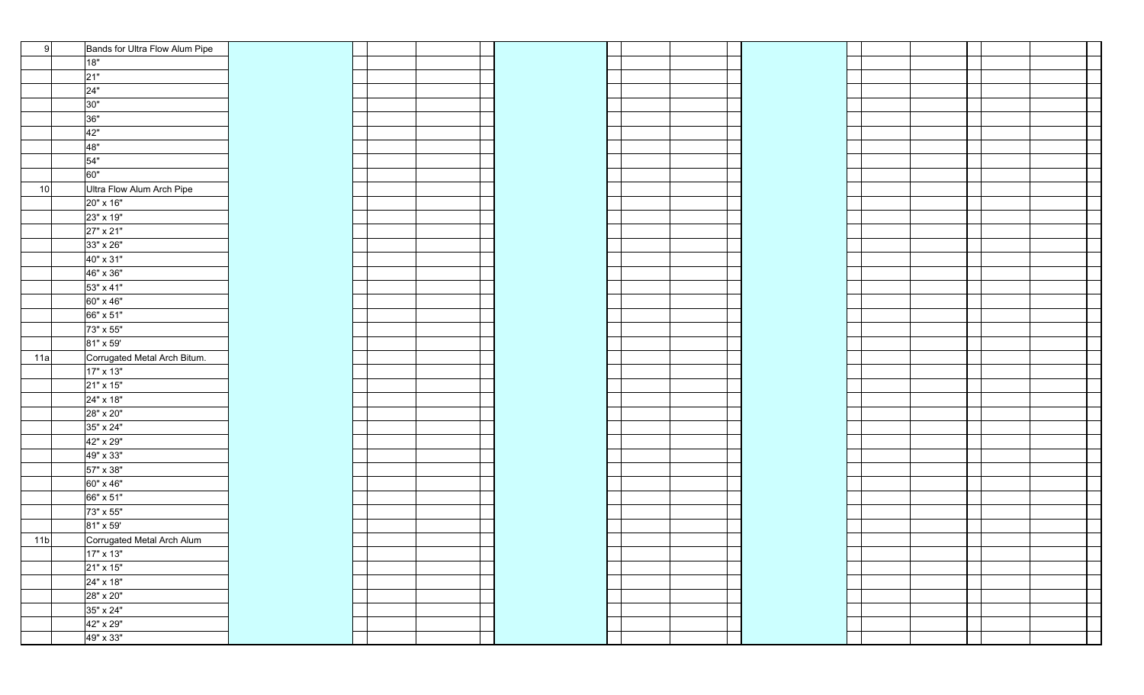| 9               | Bands for Ultra Flow Alum Pipe |  |  |  |  |  |  |
|-----------------|--------------------------------|--|--|--|--|--|--|
|                 | 18"                            |  |  |  |  |  |  |
|                 | $21"$                          |  |  |  |  |  |  |
|                 | 24"                            |  |  |  |  |  |  |
|                 | 30"                            |  |  |  |  |  |  |
|                 | 36"                            |  |  |  |  |  |  |
|                 | 42"                            |  |  |  |  |  |  |
|                 | 48"                            |  |  |  |  |  |  |
|                 | 54"                            |  |  |  |  |  |  |
|                 | 60"                            |  |  |  |  |  |  |
| 10              | Ultra Flow Alum Arch Pipe      |  |  |  |  |  |  |
|                 | 20" x 16"                      |  |  |  |  |  |  |
|                 | 23" x 19"                      |  |  |  |  |  |  |
|                 | 27" x 21"                      |  |  |  |  |  |  |
|                 | 33" x 26"                      |  |  |  |  |  |  |
|                 | 40" x 31"                      |  |  |  |  |  |  |
|                 | 46" x 36"                      |  |  |  |  |  |  |
|                 | 53" x 41"                      |  |  |  |  |  |  |
|                 | 60" x 46"                      |  |  |  |  |  |  |
|                 | 66" x 51"                      |  |  |  |  |  |  |
|                 | 73" x 55"                      |  |  |  |  |  |  |
|                 | 81" x 59'                      |  |  |  |  |  |  |
| 11a             | Corrugated Metal Arch Bitum.   |  |  |  |  |  |  |
|                 | 17" x 13"                      |  |  |  |  |  |  |
|                 | 21" x 15"                      |  |  |  |  |  |  |
|                 | 24" x 18"                      |  |  |  |  |  |  |
|                 | 28" x 20"                      |  |  |  |  |  |  |
|                 | 35" x 24"                      |  |  |  |  |  |  |
|                 | 42" x 29"                      |  |  |  |  |  |  |
|                 | 49" x 33"                      |  |  |  |  |  |  |
|                 | 57" x 38"                      |  |  |  |  |  |  |
|                 | 60" x 46"                      |  |  |  |  |  |  |
|                 | 66" x 51"                      |  |  |  |  |  |  |
|                 | 73" x 55"                      |  |  |  |  |  |  |
|                 | 81" x 59'                      |  |  |  |  |  |  |
| 11 <sub>b</sub> | Corrugated Metal Arch Alum     |  |  |  |  |  |  |
|                 | $17" \times 13"$               |  |  |  |  |  |  |
|                 | 21" x 15"                      |  |  |  |  |  |  |
|                 | 24" x 18"                      |  |  |  |  |  |  |
|                 | 28" x 20"                      |  |  |  |  |  |  |
|                 | 35" x 24"                      |  |  |  |  |  |  |
|                 | 42" x 29"                      |  |  |  |  |  |  |
|                 | 49" x 33"                      |  |  |  |  |  |  |